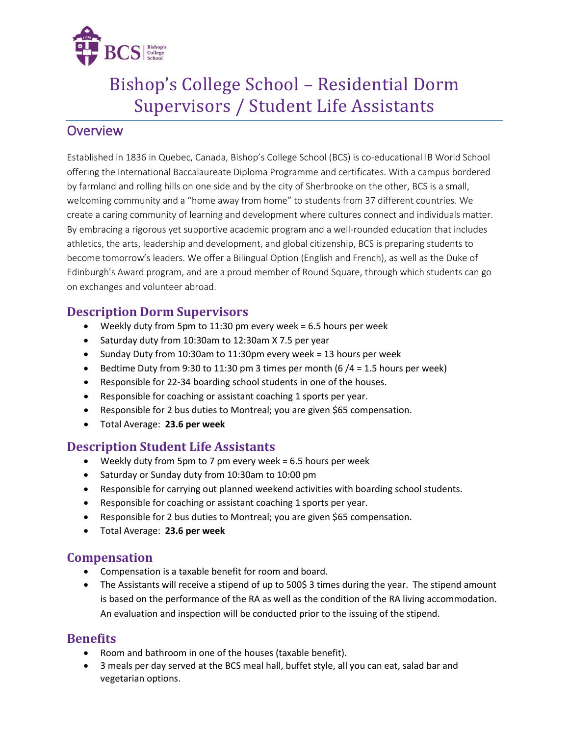

# Bishop's College School – Residential Dorm Supervisors / Student Life Assistants

## **Overview**

Established in 1836 in Quebec, Canada, Bishop's College School (BCS) is co-educational IB World School offering the International Baccalaureate Diploma Programme and certificates. With a campus bordered by farmland and rolling hills on one side and by the city of Sherbrooke on the other, BCS is a small, welcoming community and a "home away from home" to students from 37 different countries. We create a caring community of learning and development where cultures connect and individuals matter. By embracing a rigorous yet supportive academic program and a well-rounded education that includes athletics, the arts, leadership and development, and global citizenship, BCS is preparing students to become tomorrow's leaders. We offer a Bilingual Option (English and French), as well as the Duke of Edinburgh's Award program, and are a proud member of Round Square, through which students can go on exchanges and volunteer abroad.

### **Description Dorm Supervisors**

- Weekly duty from 5pm to 11:30 pm every week = 6.5 hours per week
- Saturday duty from 10:30am to 12:30am X 7.5 per year
- Sunday Duty from 10:30am to 11:30pm every week = 13 hours per week
- Bedtime Duty from 9:30 to 11:30 pm 3 times per month (6  $/4$  = 1.5 hours per week)
- Responsible for 22-34 boarding school students in one of the houses.
- Responsible for coaching or assistant coaching 1 sports per year.
- Responsible for 2 bus duties to Montreal; you are given \$65 compensation.
- Total Average: **23.6 per week**

### **Description Student Life Assistants**

- Weekly duty from 5pm to 7 pm every week = 6.5 hours per week
- Saturday or Sunday duty from 10:30am to 10:00 pm
- Responsible for carrying out planned weekend activities with boarding school students.
- Responsible for coaching or assistant coaching 1 sports per year.
- Responsible for 2 bus duties to Montreal; you are given \$65 compensation.
- Total Average: **23.6 per week**

### **Compensation**

- Compensation is a taxable benefit for room and board.
- The Assistants will receive a stipend of up to 500\$ 3 times during the year. The stipend amount is based on the performance of the RA as well as the condition of the RA living accommodation. An evaluation and inspection will be conducted prior to the issuing of the stipend.

### **Benefits**

- Room and bathroom in one of the houses (taxable benefit).
- 3 meals per day served at the BCS meal hall, buffet style, all you can eat, salad bar and vegetarian options.